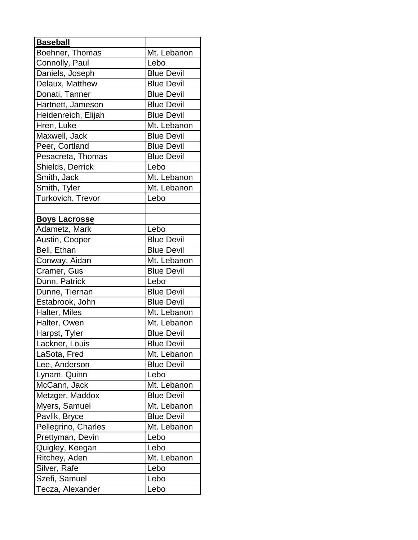| <b>Baseball</b>      |                   |
|----------------------|-------------------|
| Boehner, Thomas      | Mt. Lebanon       |
| Connolly, Paul       | Lebo              |
| Daniels, Joseph      | <b>Blue Devil</b> |
| Delaux, Matthew      | <b>Blue Devil</b> |
| Donati, Tanner       | <b>Blue Devil</b> |
| Hartnett, Jameson    | <b>Blue Devil</b> |
| Heidenreich, Elijah  | <b>Blue Devil</b> |
| Hren, Luke           | Mt. Lebanon       |
| Maxwell, Jack        | <b>Blue Devil</b> |
| Peer, Cortland       | <b>Blue Devil</b> |
| Pesacreta, Thomas    | <b>Blue Devil</b> |
| Shields, Derrick     | Lebo              |
| Smith, Jack          | Mt. Lebanon       |
| Smith, Tyler         | Mt. Lebanon       |
| Turkovich, Trevor    | Lebo              |
|                      |                   |
| <b>Boys Lacrosse</b> |                   |
| Adametz, Mark        | Lebo              |
| Austin, Cooper       | <b>Blue Devil</b> |
| Bell, Ethan          | <b>Blue Devil</b> |
| Conway, Aidan        | Mt. Lebanon       |
| Cramer, Gus          | <b>Blue Devil</b> |
| Dunn, Patrick        | Lebo              |
| Dunne, Tiernan       | <b>Blue Devil</b> |
| Estabrook, John      | <b>Blue Devil</b> |
| Halter, Miles        | Mt. Lebanon       |
| Halter, Owen         | Mt. Lebanon       |
| Harpst, Tyler        | <b>Blue Devil</b> |
| Lackner, Louis       | <b>Blue Devil</b> |
| LaSota, Fred         | Mt. Lebanon       |
| Lee, Anderson        | <b>Blue Devil</b> |
| Lynam, Quinn         | Lebo              |
| McCann, Jack         | Mt. Lebanon       |
| Metzger, Maddox      | <b>Blue Devil</b> |
| Myers, Samuel        | Mt. Lebanon       |
| Pavlik, Bryce        | <b>Blue Devil</b> |
| Pellegrino, Charles  | Mt. Lebanon       |
| Prettyman, Devin     | Lebo              |
| Quigley, Keegan      | Lebo              |
| Ritchey, Aden        | Mt. Lebanon       |
| Silver, Rafe         | Lebo              |
| Szefi, Samuel        | Lebo              |
| Tecza, Alexander     | Lebo              |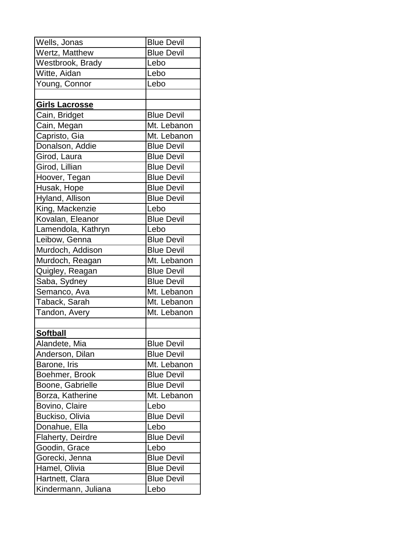| Wells, Jonas          | <b>Blue Devil</b> |
|-----------------------|-------------------|
| Wertz, Matthew        | <b>Blue Devil</b> |
| Westbrook, Brady      | Lebo              |
| Witte, Aidan          | Lebo              |
| Young, Connor         | Lebo              |
|                       |                   |
| <b>Girls Lacrosse</b> |                   |
| Cain, Bridget         | <b>Blue Devil</b> |
| Cain, Megan           | Mt. Lebanon       |
| Capristo, Gia         | Mt. Lebanon       |
| Donalson, Addie       | <b>Blue Devil</b> |
| Girod, Laura          | <b>Blue Devil</b> |
| Girod, Lillian        | <b>Blue Devil</b> |
| Hoover, Tegan         | <b>Blue Devil</b> |
| Husak, Hope           | <b>Blue Devil</b> |
| Hyland, Allison       | <b>Blue Devil</b> |
| King, Mackenzie       | Lebo              |
| Kovalan, Eleanor      | <b>Blue Devil</b> |
| Lamendola, Kathryn    | Lebo              |
| Leibow, Genna         | <b>Blue Devil</b> |
| Murdoch, Addison      | <b>Blue Devil</b> |
| Murdoch, Reagan       | Mt. Lebanon       |
| Quigley, Reagan       | <b>Blue Devil</b> |
| Saba, Sydney          | <b>Blue Devil</b> |
| Semanco, Ava          | Mt. Lebanon       |
| Taback, Sarah         | Mt. Lebanon       |
| Tandon, Avery         | Mt. Lebanon       |
|                       |                   |
| <b>Softball</b>       |                   |
| Alandete, Mia         | <b>Blue Devil</b> |
| Anderson, Dilan       | <b>Blue Devil</b> |
| Barone, Iris          | Mt. Lebanon       |
| Boehmer, Brook        | <b>Blue Devil</b> |
| Boone, Gabrielle      | <b>Blue Devil</b> |
| Borza, Katherine      | Mt. Lebanon       |
| Bovino, Claire        | Lebo              |
| Buckiso, Olivia       | <b>Blue Devil</b> |
| Donahue, Ella         | Lebo              |
| Flaherty, Deirdre     | <b>Blue Devil</b> |
| Goodin, Grace         | Lebo              |
| Gorecki, Jenna        | <b>Blue Devil</b> |
| Hamel, Olivia         | <b>Blue Devil</b> |
| Hartnett, Clara       | <b>Blue Devil</b> |
| Kindermann, Juliana   | Lebo              |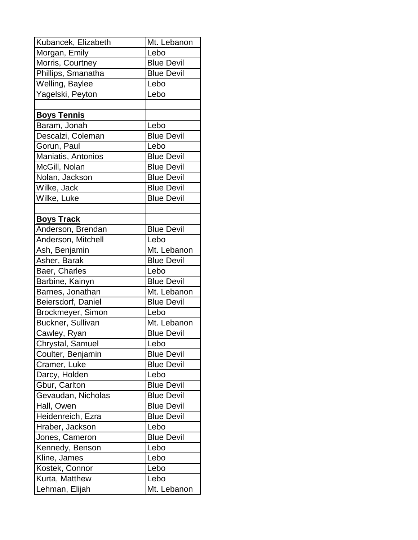| Kubancek, Elizabeth | Mt. Lebanon       |
|---------------------|-------------------|
| Morgan, Emily       | Lebo              |
| Morris, Courtney    | <b>Blue Devil</b> |
| Phillips, Smanatha  | <b>Blue Devil</b> |
| Welling, Baylee     | Lebo              |
| Yagelski, Peyton    | Lebo              |
|                     |                   |
| <b>Boys Tennis</b>  |                   |
| Baram, Jonah        | Lebo              |
| Descalzi, Coleman   | <b>Blue Devil</b> |
| Gorun, Paul         | Lebo              |
| Maniatis, Antonios  | <b>Blue Devil</b> |
| McGill, Nolan       | <b>Blue Devil</b> |
| Nolan, Jackson      | <b>Blue Devil</b> |
| Wilke, Jack         | <b>Blue Devil</b> |
| Wilke, Luke         | <b>Blue Devil</b> |
|                     |                   |
| <b>Boys Track</b>   |                   |
| Anderson, Brendan   | <b>Blue Devil</b> |
| Anderson, Mitchell  | Lebo              |
| Ash, Benjamin       | Mt. Lebanon       |
| Asher, Barak        | <b>Blue Devil</b> |
| Baer, Charles       | Lebo              |
| Barbine, Kainyn     | <b>Blue Devil</b> |
| Barnes, Jonathan    | Mt. Lebanon       |
| Beiersdorf, Daniel  | <b>Blue Devil</b> |
| Brockmeyer, Simon   | Lebo              |
| Buckner, Sullivan   | Mt. Lebanon       |
| Cawley, Ryan        | <b>Blue Devil</b> |
| Chrystal, Samuel    | Lebo              |
| Coulter, Benjamin   | <b>Blue Devil</b> |
| Cramer, Luke        | <b>Blue Devil</b> |
| Darcy, Holden       | Lebo              |
| Gbur, Carlton       | <b>Blue Devil</b> |
| Gevaudan, Nicholas  | <b>Blue Devil</b> |
| Hall, Owen          | <b>Blue Devil</b> |
| Heidenreich, Ezra   | <b>Blue Devil</b> |
| Hraber, Jackson     | Lebo              |
| Jones, Cameron      | <b>Blue Devil</b> |
| Kennedy, Benson     | Lebo              |
| Kline, James        | Lebo              |
| Kostek, Connor      | Lebo              |
| Kurta, Matthew      | Lebo              |
| Lehman, Elijah      | Mt. Lebanon       |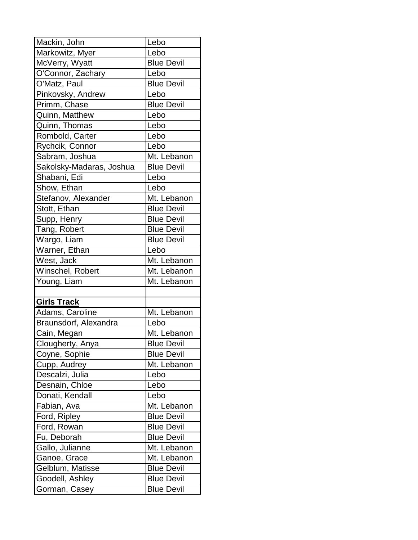| Mackin, John             | Lebo              |
|--------------------------|-------------------|
| Markowitz, Myer          | Lebo              |
| McVerry, Wyatt           | <b>Blue Devil</b> |
| O'Connor, Zachary        | Lebo              |
| O'Matz, Paul             | <b>Blue Devil</b> |
| Pinkovsky, Andrew        | Lebo              |
| Primm, Chase             | <b>Blue Devil</b> |
| Quinn, Matthew           | Lebo              |
| Quinn, Thomas            | Lebo              |
| Rombold, Carter          | Lebo              |
| Rychcik, Connor          | Lebo              |
| Sabram, Joshua           | Mt. Lebanon       |
| Sakolsky-Madaras, Joshua | <b>Blue Devil</b> |
| Shabani, Edi             | Lebo              |
| Show, Ethan              | Lebo              |
| Stefanov, Alexander      | Mt. Lebanon       |
| Stott, Ethan             | <b>Blue Devil</b> |
| Supp, Henry              | <b>Blue Devil</b> |
| Tang, Robert             | <b>Blue Devil</b> |
| Wargo, Liam              | <b>Blue Devil</b> |
| Warner, Ethan            | Lebo              |
| West, Jack               | Mt. Lebanon       |
| Winschel, Robert         | Mt. Lebanon       |
| Young, Liam              | Mt. Lebanon       |
|                          |                   |
| <b>Girls Track</b>       |                   |
| Adams, Caroline          | Mt. Lebanon       |
| Braunsdorf, Alexandra    | Lebo              |
| Cain, Megan              | Mt. Lebanon       |
| Clougherty, Anya         | <b>Blue Devil</b> |
| Coyne, Sophie            | <b>Blue Devil</b> |
| Cupp, Audrey             | Mt. Lebanon       |
| Descalzi, Julia          | Lebo              |
| Desnain, Chloe           | Lebo              |
| Donati, Kendall          | Lebo              |
| Fabian, Ava              | Mt. Lebanon       |
| Ford, Ripley             | <b>Blue Devil</b> |
| Ford, Rowan              | <b>Blue Devil</b> |
| Fu, Deborah              | <b>Blue Devil</b> |
| Gallo, Julianne          | Mt. Lebanon       |
| Ganoe, Grace             | Mt. Lebanon       |
| Gelblum, Matisse         | <b>Blue Devil</b> |
| Goodell, Ashley          | <b>Blue Devil</b> |
| Gorman, Casey            | <b>Blue Devil</b> |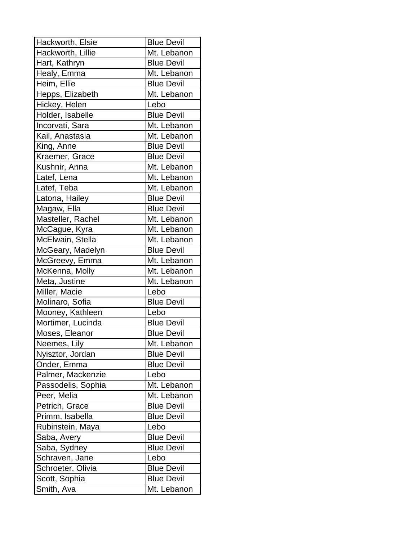| Hackworth, Elsie   | <b>Blue Devil</b> |
|--------------------|-------------------|
| Hackworth, Lillie  | Mt. Lebanon       |
| Hart, Kathryn      | <b>Blue Devil</b> |
| Healy, Emma        | Mt. Lebanon       |
| Heim, Ellie        | <b>Blue Devil</b> |
| Hepps, Elizabeth   | Mt. Lebanon       |
| Hickey, Helen      | Lebo              |
| Holder, Isabelle   | <b>Blue Devil</b> |
| Incorvati, Sara    | Mt. Lebanon       |
| Kail, Anastasia    | Mt. Lebanon       |
| King, Anne         | <b>Blue Devil</b> |
| Kraemer, Grace     | <b>Blue Devil</b> |
| Kushnir, Anna      | Mt. Lebanon       |
| Latef, Lena        | Mt. Lebanon       |
| Latef, Teba        | Mt. Lebanon       |
| Latona, Hailey     | <b>Blue Devil</b> |
| Magaw, Ella        | <b>Blue Devil</b> |
| Masteller, Rachel  | Mt. Lebanon       |
| McCague, Kyra      | Mt. Lebanon       |
| McElwain, Stella   | Mt. Lebanon       |
| McGeary, Madelyn   | <b>Blue Devil</b> |
| McGreevy, Emma     | Mt. Lebanon       |
| McKenna, Molly     | Mt. Lebanon       |
| Meta, Justine      | Mt. Lebanon       |
| Miller, Macie      | Lebo              |
| Molinaro, Sofia    | <b>Blue Devil</b> |
| Mooney, Kathleen   | Lebo              |
| Mortimer, Lucinda  | <b>Blue Devil</b> |
| Moses, Eleanor     | <b>Blue Devil</b> |
| Neemes, Lily       | Mt. Lebanon       |
| Nyisztor, Jordan   | <b>Blue Devil</b> |
| Onder, Emma        | <b>Blue Devil</b> |
| Palmer, Mackenzie  | Lebo              |
| Passodelis, Sophia | Mt. Lebanon       |
| Peer, Melia        | Mt. Lebanon       |
| Petrich, Grace     | <b>Blue Devil</b> |
| Primm, Isabella    | <b>Blue Devil</b> |
| Rubinstein, Maya   | Lebo              |
| Saba, Avery        | <b>Blue Devil</b> |
| Saba, Sydney       | <b>Blue Devil</b> |
| Schraven, Jane     | Lebo              |
| Schroeter, Olivia  | <b>Blue Devil</b> |
| Scott, Sophia      | <b>Blue Devil</b> |
| Smith, Ava         | Mt. Lebanon       |